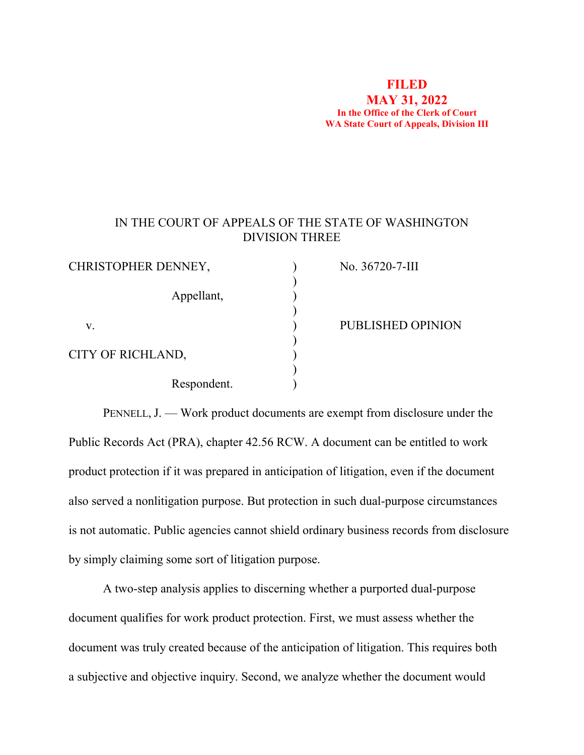#### **FILED MAY 31, 2022 In the Office of the Clerk of Court WA State Court of Appeals, Division III**

# IN THE COURT OF APPEALS OF THE STATE OF WASHINGTON DIVISION THREE

| CHRISTOPHER DENNEY, | No. 36720-7-III   |
|---------------------|-------------------|
|                     |                   |
| Appellant,          |                   |
|                     |                   |
| v.                  | PUBLISHED OPINION |
|                     |                   |
| CITY OF RICHLAND,   |                   |
|                     |                   |
| Respondent.         |                   |

PENNELL, J. — Work product documents are exempt from disclosure under the Public Records Act (PRA), chapter 42.56 RCW. A document can be entitled to work product protection if it was prepared in anticipation of litigation, even if the document also served a nonlitigation purpose. But protection in such dual-purpose circumstances is not automatic. Public agencies cannot shield ordinary business records from disclosure by simply claiming some sort of litigation purpose.

A two-step analysis applies to discerning whether a purported dual-purpose document qualifies for work product protection. First, we must assess whether the document was truly created because of the anticipation of litigation. This requires both a subjective and objective inquiry. Second, we analyze whether the document would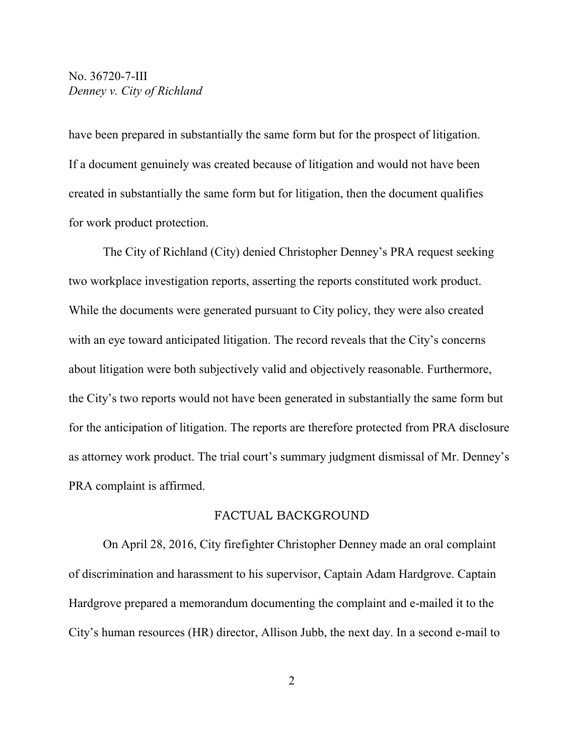have been prepared in substantially the same form but for the prospect of litigation. If a document genuinely was created because of litigation and would not have been created in substantially the same form but for litigation, then the document qualifies for work product protection.

The City of Richland (City) denied Christopher Denney's PRA request seeking two workplace investigation reports, asserting the reports constituted work product. While the documents were generated pursuant to City policy, they were also created with an eye toward anticipated litigation. The record reveals that the City's concerns about litigation were both subjectively valid and objectively reasonable. Furthermore, the City's two reports would not have been generated in substantially the same form but for the anticipation of litigation. The reports are therefore protected from PRA disclosure as attorney work product. The trial court's summary judgment dismissal of Mr. Denney's PRA complaint is affirmed.

#### FACTUAL BACKGROUND

On April 28, 2016, City firefighter Christopher Denney made an oral complaint of discrimination and harassment to his supervisor, Captain Adam Hardgrove. Captain Hardgrove prepared a memorandum documenting the complaint and e-mailed it to the City's human resources (HR) director, Allison Jubb, the next day. In a second e-mail to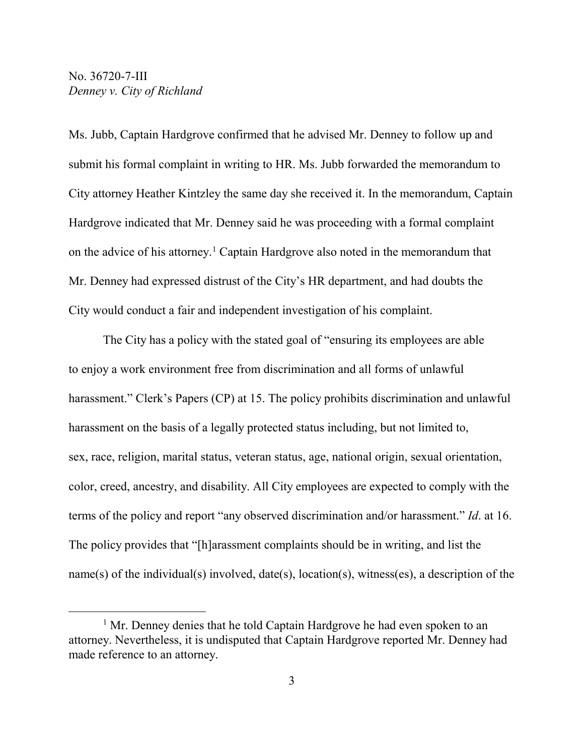Ms. Jubb, Captain Hardgrove confirmed that he advised Mr. Denney to follow up and submit his formal complaint in writing to HR. Ms. Jubb forwarded the memorandum to City attorney Heather Kintzley the same day she received it. In the memorandum, Captain Hardgrove indicated that Mr. Denney said he was proceeding with a formal complaint on the advice of his attorney.[1](#page-2-0) Captain Hardgrove also noted in the memorandum that Mr. Denney had expressed distrust of the City's HR department, and had doubts the City would conduct a fair and independent investigation of his complaint.

The City has a policy with the stated goal of "ensuring its employees are able to enjoy a work environment free from discrimination and all forms of unlawful harassment." Clerk's Papers (CP) at 15. The policy prohibits discrimination and unlawful harassment on the basis of a legally protected status including, but not limited to, sex, race, religion, marital status, veteran status, age, national origin, sexual orientation, color, creed, ancestry, and disability. All City employees are expected to comply with the terms of the policy and report "any observed discrimination and/or harassment." *Id*. at 16. The policy provides that "[h]arassment complaints should be in writing, and list the name(s) of the individual(s) involved, date(s), location(s), witness(es), a description of the

<span id="page-2-0"></span> $<sup>1</sup>$  Mr. Denney denies that he told Captain Hardgrove he had even spoken to an</sup> attorney. Nevertheless, it is undisputed that Captain Hardgrove reported Mr. Denney had made reference to an attorney.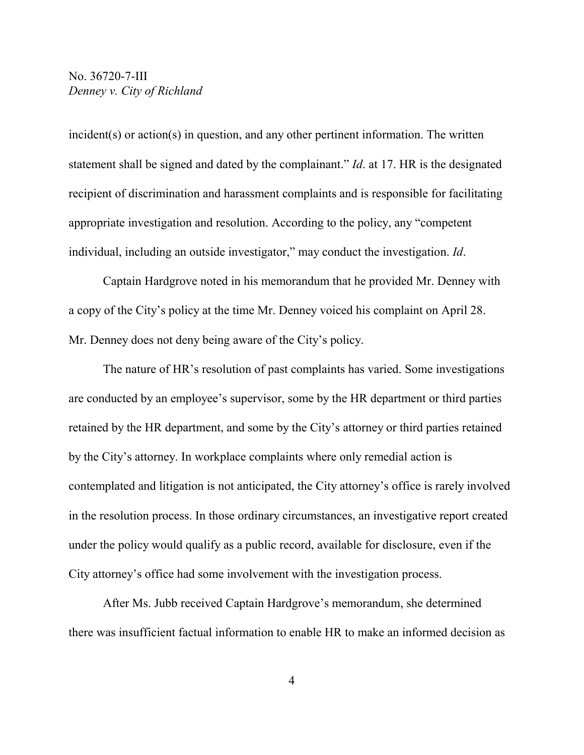incident(s) or action(s) in question, and any other pertinent information. The written statement shall be signed and dated by the complainant." *Id*. at 17. HR is the designated recipient of discrimination and harassment complaints and is responsible for facilitating appropriate investigation and resolution. According to the policy, any "competent individual, including an outside investigator," may conduct the investigation. *Id*.

Captain Hardgrove noted in his memorandum that he provided Mr. Denney with a copy of the City's policy at the time Mr. Denney voiced his complaint on April 28. Mr. Denney does not deny being aware of the City's policy.

The nature of HR's resolution of past complaints has varied. Some investigations are conducted by an employee's supervisor, some by the HR department or third parties retained by the HR department, and some by the City's attorney or third parties retained by the City's attorney. In workplace complaints where only remedial action is contemplated and litigation is not anticipated, the City attorney's office is rarely involved in the resolution process. In those ordinary circumstances, an investigative report created under the policy would qualify as a public record, available for disclosure, even if the City attorney's office had some involvement with the investigation process.

After Ms. Jubb received Captain Hardgrove's memorandum, she determined there was insufficient factual information to enable HR to make an informed decision as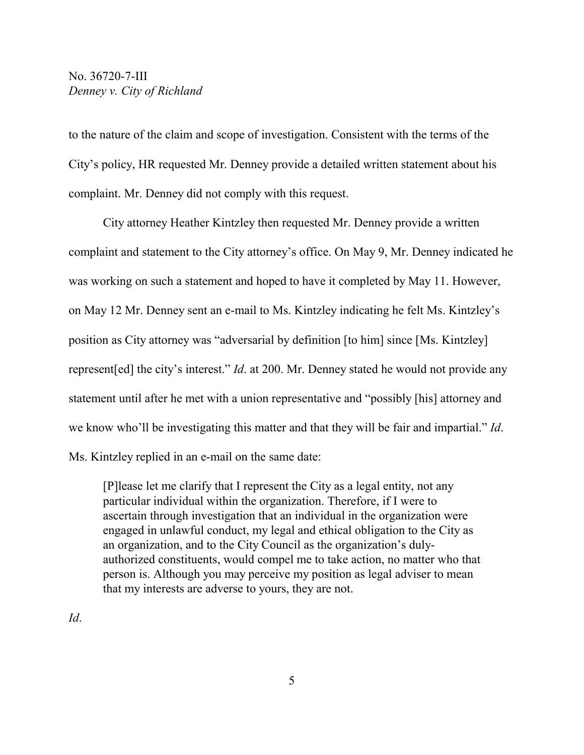to the nature of the claim and scope of investigation. Consistent with the terms of the City's policy, HR requested Mr. Denney provide a detailed written statement about his complaint. Mr. Denney did not comply with this request.

City attorney Heather Kintzley then requested Mr. Denney provide a written complaint and statement to the City attorney's office. On May 9, Mr. Denney indicated he was working on such a statement and hoped to have it completed by May 11. However, on May 12 Mr. Denney sent an e-mail to Ms. Kintzley indicating he felt Ms. Kintzley's position as City attorney was "adversarial by definition [to him] since [Ms. Kintzley] represent[ed] the city's interest." *Id*. at 200. Mr. Denney stated he would not provide any statement until after he met with a union representative and "possibly [his] attorney and we know who'll be investigating this matter and that they will be fair and impartial." *Id*. Ms. Kintzley replied in an e-mail on the same date:

[P]lease let me clarify that I represent the City as a legal entity, not any particular individual within the organization. Therefore, if I were to ascertain through investigation that an individual in the organization were engaged in unlawful conduct, my legal and ethical obligation to the City as an organization, and to the City Council as the organization's dulyauthorized constituents, would compel me to take action, no matter who that person is. Although you may perceive my position as legal adviser to mean that my interests are adverse to yours, they are not.

*Id*.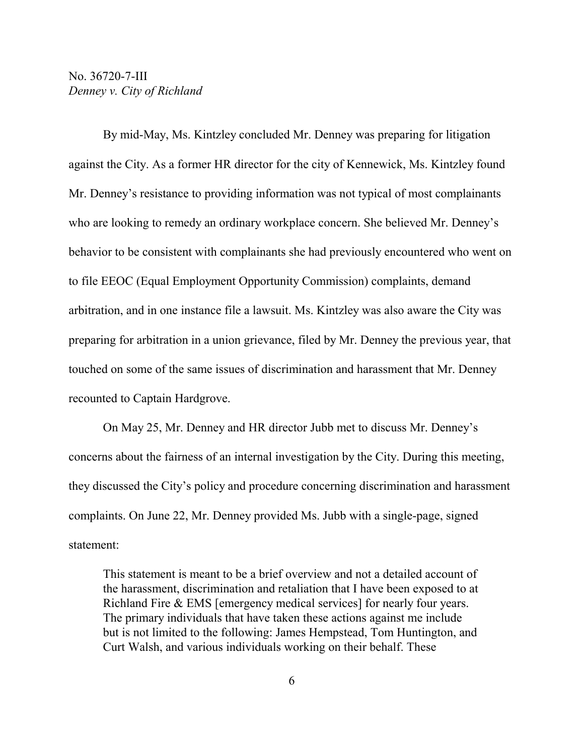By mid-May, Ms. Kintzley concluded Mr. Denney was preparing for litigation against the City. As a former HR director for the city of Kennewick, Ms. Kintzley found Mr. Denney's resistance to providing information was not typical of most complainants who are looking to remedy an ordinary workplace concern. She believed Mr. Denney's behavior to be consistent with complainants she had previously encountered who went on to file EEOC (Equal Employment Opportunity Commission) complaints, demand arbitration, and in one instance file a lawsuit. Ms. Kintzley was also aware the City was preparing for arbitration in a union grievance, filed by Mr. Denney the previous year, that touched on some of the same issues of discrimination and harassment that Mr. Denney recounted to Captain Hardgrove.

On May 25, Mr. Denney and HR director Jubb met to discuss Mr. Denney's concerns about the fairness of an internal investigation by the City. During this meeting, they discussed the City's policy and procedure concerning discrimination and harassment complaints. On June 22, Mr. Denney provided Ms. Jubb with a single-page, signed statement:

This statement is meant to be a brief overview and not a detailed account of the harassment, discrimination and retaliation that I have been exposed to at Richland Fire & EMS [emergency medical services] for nearly four years. The primary individuals that have taken these actions against me include but is not limited to the following: James Hempstead, Tom Huntington, and Curt Walsh, and various individuals working on their behalf. These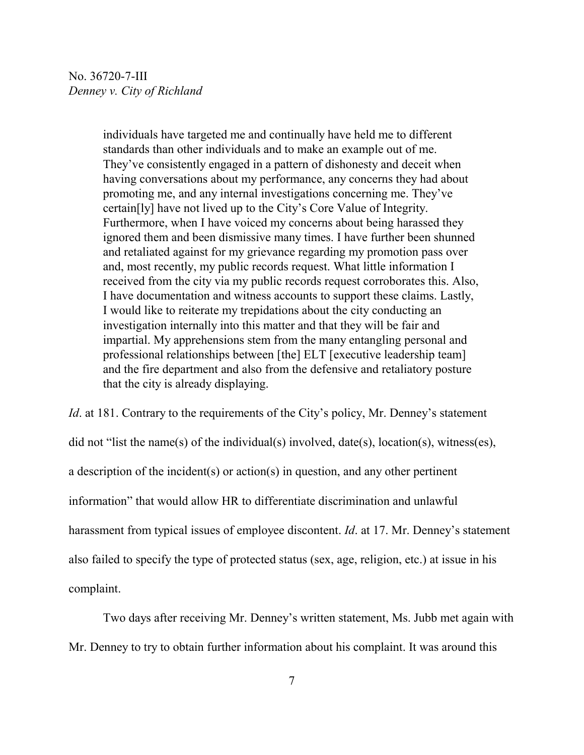individuals have targeted me and continually have held me to different standards than other individuals and to make an example out of me. They've consistently engaged in a pattern of dishonesty and deceit when having conversations about my performance, any concerns they had about promoting me, and any internal investigations concerning me. They've certain[ly] have not lived up to the City's Core Value of Integrity. Furthermore, when I have voiced my concerns about being harassed they ignored them and been dismissive many times. I have further been shunned and retaliated against for my grievance regarding my promotion pass over and, most recently, my public records request. What little information I received from the city via my public records request corroborates this. Also, I have documentation and witness accounts to support these claims. Lastly, I would like to reiterate my trepidations about the city conducting an investigation internally into this matter and that they will be fair and impartial. My apprehensions stem from the many entangling personal and professional relationships between [the] ELT [executive leadership team] and the fire department and also from the defensive and retaliatory posture that the city is already displaying.

*Id.* at 181. Contrary to the requirements of the City's policy, Mr. Denney's statement did not "list the name(s) of the individual(s) involved, date(s), location(s), witness(es), a description of the incident(s) or action(s) in question, and any other pertinent information" that would allow HR to differentiate discrimination and unlawful harassment from typical issues of employee discontent. *Id*. at 17. Mr. Denney's statement also failed to specify the type of protected status (sex, age, religion, etc.) at issue in his complaint.

Two days after receiving Mr. Denney's written statement, Ms. Jubb met again with Mr. Denney to try to obtain further information about his complaint. It was around this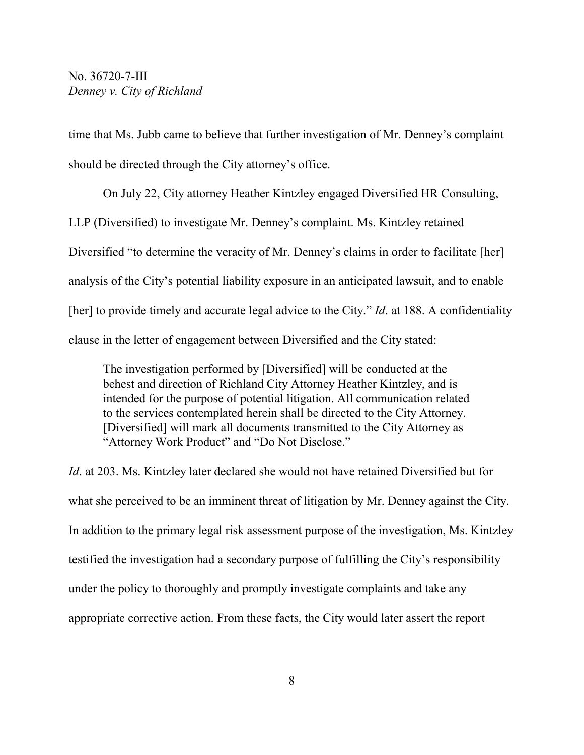time that Ms. Jubb came to believe that further investigation of Mr. Denney's complaint should be directed through the City attorney's office.

On July 22, City attorney Heather Kintzley engaged Diversified HR Consulting, LLP (Diversified) to investigate Mr. Denney's complaint. Ms. Kintzley retained Diversified "to determine the veracity of Mr. Denney's claims in order to facilitate [her] analysis of the City's potential liability exposure in an anticipated lawsuit, and to enable [her] to provide timely and accurate legal advice to the City." *Id.* at 188. A confidentiality clause in the letter of engagement between Diversified and the City stated:

The investigation performed by [Diversified] will be conducted at the behest and direction of Richland City Attorney Heather Kintzley, and is intended for the purpose of potential litigation. All communication related to the services contemplated herein shall be directed to the City Attorney. [Diversified] will mark all documents transmitted to the City Attorney as "Attorney Work Product" and "Do Not Disclose."

*Id*. at 203. Ms. Kintzley later declared she would not have retained Diversified but for what she perceived to be an imminent threat of litigation by Mr. Denney against the City. In addition to the primary legal risk assessment purpose of the investigation, Ms. Kintzley testified the investigation had a secondary purpose of fulfilling the City's responsibility under the policy to thoroughly and promptly investigate complaints and take any appropriate corrective action. From these facts, the City would later assert the report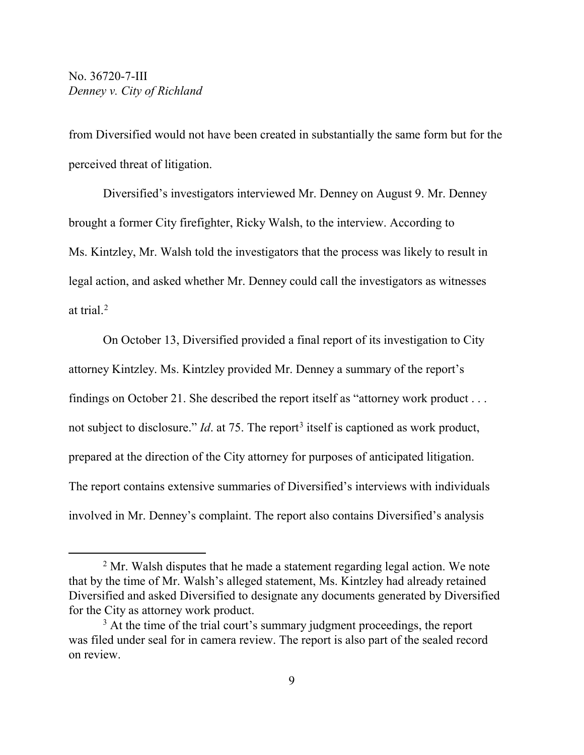from Diversified would not have been created in substantially the same form but for the perceived threat of litigation.

Diversified's investigators interviewed Mr. Denney on August 9. Mr. Denney brought a former City firefighter, Ricky Walsh, to the interview. According to Ms. Kintzley, Mr. Walsh told the investigators that the process was likely to result in legal action, and asked whether Mr. Denney could call the investigators as witnesses at trial.[2](#page-8-0)

On October 13, Diversified provided a final report of its investigation to City attorney Kintzley. Ms. Kintzley provided Mr. Denney a summary of the report's findings on October 21. She described the report itself as "attorney work product . . . not subject to disclosure." *Id.* at 75. The report<sup>[3](#page-8-1)</sup> itself is captioned as work product, prepared at the direction of the City attorney for purposes of anticipated litigation. The report contains extensive summaries of Diversified's interviews with individuals involved in Mr. Denney's complaint. The report also contains Diversified's analysis

<span id="page-8-0"></span> $2$  Mr. Walsh disputes that he made a statement regarding legal action. We note that by the time of Mr. Walsh's alleged statement, Ms. Kintzley had already retained Diversified and asked Diversified to designate any documents generated by Diversified for the City as attorney work product.

<span id="page-8-1"></span> $3$  At the time of the trial court's summary judgment proceedings, the report was filed under seal for in camera review. The report is also part of the sealed record on review.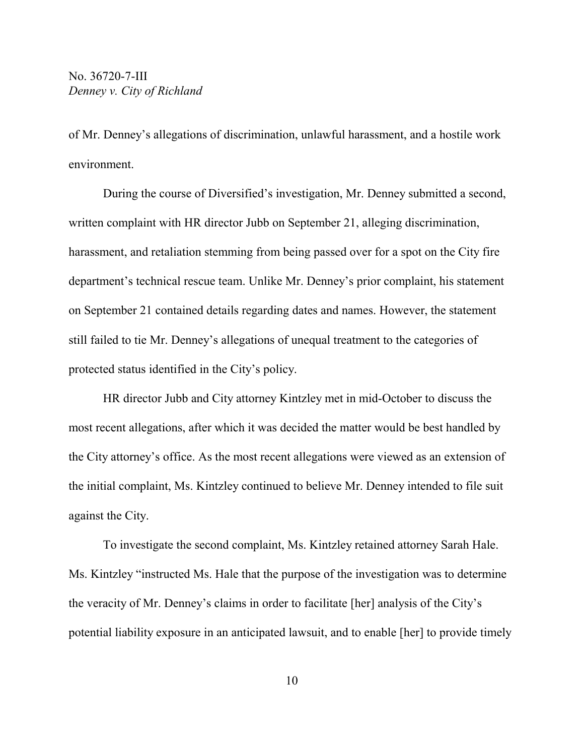of Mr. Denney's allegations of discrimination, unlawful harassment, and a hostile work environment.

During the course of Diversified's investigation, Mr. Denney submitted a second, written complaint with HR director Jubb on September 21, alleging discrimination, harassment, and retaliation stemming from being passed over for a spot on the City fire department's technical rescue team. Unlike Mr. Denney's prior complaint, his statement on September 21 contained details regarding dates and names. However, the statement still failed to tie Mr. Denney's allegations of unequal treatment to the categories of protected status identified in the City's policy.

HR director Jubb and City attorney Kintzley met in mid-October to discuss the most recent allegations, after which it was decided the matter would be best handled by the City attorney's office. As the most recent allegations were viewed as an extension of the initial complaint, Ms. Kintzley continued to believe Mr. Denney intended to file suit against the City.

To investigate the second complaint, Ms. Kintzley retained attorney Sarah Hale. Ms. Kintzley "instructed Ms. Hale that the purpose of the investigation was to determine the veracity of Mr. Denney's claims in order to facilitate [her] analysis of the City's potential liability exposure in an anticipated lawsuit, and to enable [her] to provide timely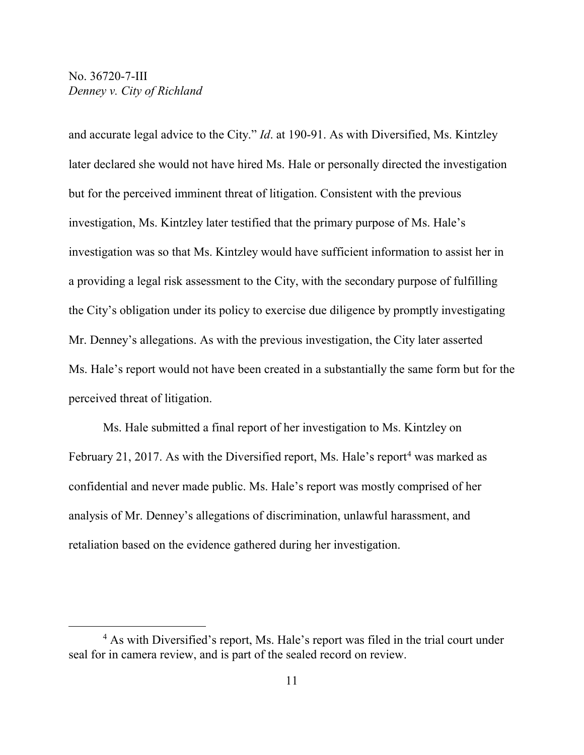and accurate legal advice to the City." *Id*. at 190-91. As with Diversified, Ms. Kintzley later declared she would not have hired Ms. Hale or personally directed the investigation but for the perceived imminent threat of litigation. Consistent with the previous investigation, Ms. Kintzley later testified that the primary purpose of Ms. Hale's investigation was so that Ms. Kintzley would have sufficient information to assist her in a providing a legal risk assessment to the City, with the secondary purpose of fulfilling the City's obligation under its policy to exercise due diligence by promptly investigating Mr. Denney's allegations. As with the previous investigation, the City later asserted Ms. Hale's report would not have been created in a substantially the same form but for the perceived threat of litigation.

Ms. Hale submitted a final report of her investigation to Ms. Kintzley on February 21, 2017. As with the Diversified report, Ms. Hale's report<sup>[4](#page-10-0)</sup> was marked as confidential and never made public. Ms. Hale's report was mostly comprised of her analysis of Mr. Denney's allegations of discrimination, unlawful harassment, and retaliation based on the evidence gathered during her investigation.

<span id="page-10-0"></span><sup>4</sup> As with Diversified's report, Ms. Hale's report was filed in the trial court under seal for in camera review, and is part of the sealed record on review.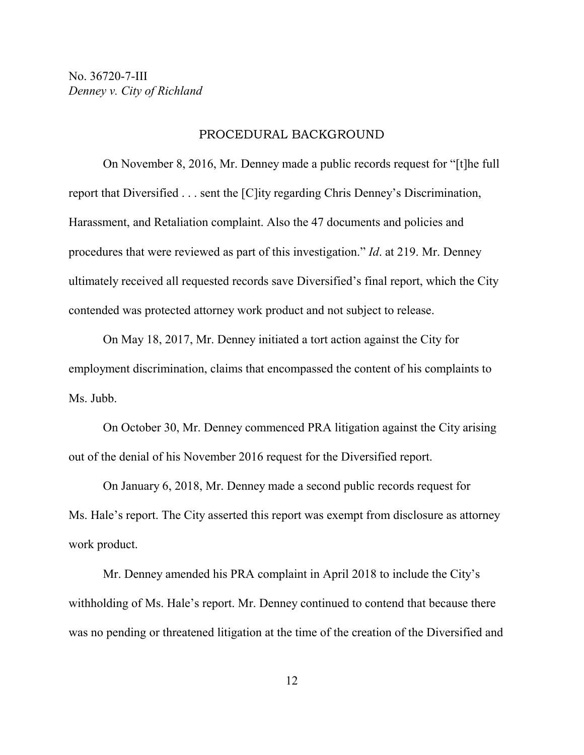#### PROCEDURAL BACKGROUND

On November 8, 2016, Mr. Denney made a public records request for "[t]he full report that Diversified . . . sent the [C]ity regarding Chris Denney's Discrimination, Harassment, and Retaliation complaint. Also the 47 documents and policies and procedures that were reviewed as part of this investigation." *Id*. at 219. Mr. Denney ultimately received all requested records save Diversified's final report, which the City contended was protected attorney work product and not subject to release.

On May 18, 2017, Mr. Denney initiated a tort action against the City for employment discrimination, claims that encompassed the content of his complaints to Ms. Jubb.

On October 30, Mr. Denney commenced PRA litigation against the City arising out of the denial of his November 2016 request for the Diversified report.

On January 6, 2018, Mr. Denney made a second public records request for Ms. Hale's report. The City asserted this report was exempt from disclosure as attorney work product.

Mr. Denney amended his PRA complaint in April 2018 to include the City's withholding of Ms. Hale's report. Mr. Denney continued to contend that because there was no pending or threatened litigation at the time of the creation of the Diversified and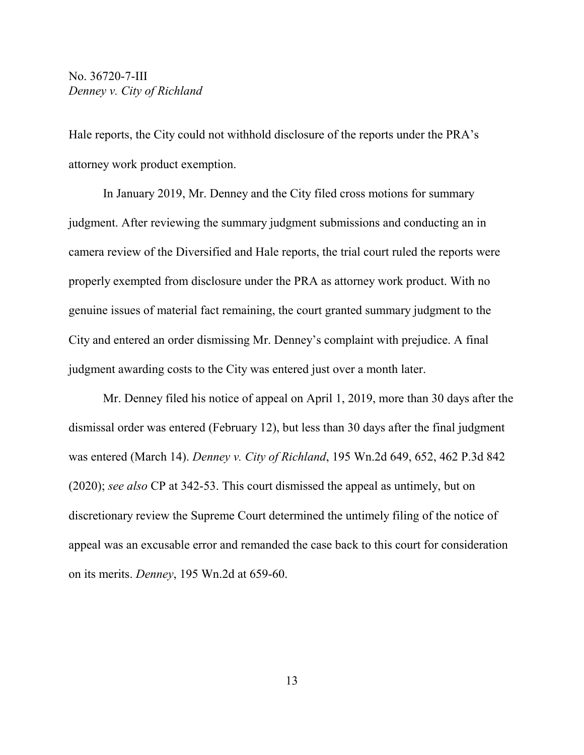Hale reports, the City could not withhold disclosure of the reports under the PRA's attorney work product exemption.

In January 2019, Mr. Denney and the City filed cross motions for summary judgment. After reviewing the summary judgment submissions and conducting an in camera review of the Diversified and Hale reports, the trial court ruled the reports were properly exempted from disclosure under the PRA as attorney work product. With no genuine issues of material fact remaining, the court granted summary judgment to the City and entered an order dismissing Mr. Denney's complaint with prejudice. A final judgment awarding costs to the City was entered just over a month later.

Mr. Denney filed his notice of appeal on April 1, 2019, more than 30 days after the dismissal order was entered (February 12), but less than 30 days after the final judgment was entered (March 14). *Denney v. City of Richland*, 195 Wn.2d 649, 652, 462 P.3d 842 (2020); *see also* CP at 342-53. This court dismissed the appeal as untimely, but on discretionary review the Supreme Court determined the untimely filing of the notice of appeal was an excusable error and remanded the case back to this court for consideration on its merits. *Denney*, 195 Wn.2d at 659-60.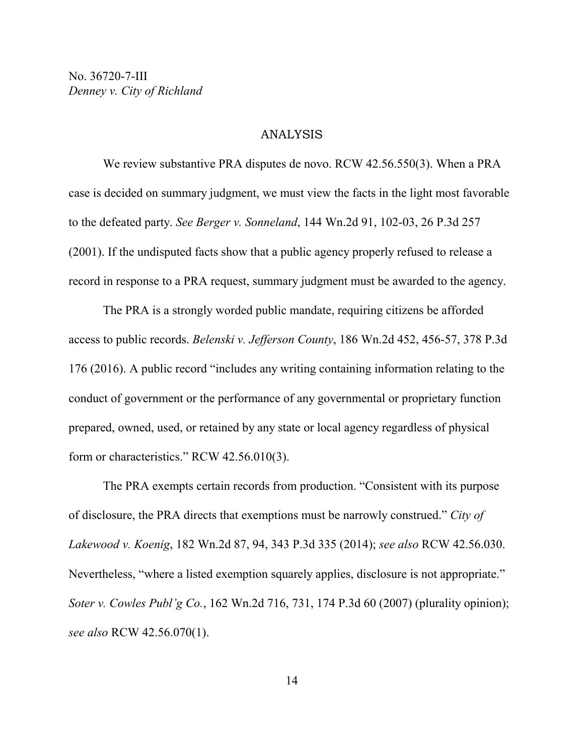#### ANALYSIS

We review substantive PRA disputes de novo. RCW 42.56.550(3). When a PRA case is decided on summary judgment, we must view the facts in the light most favorable to the defeated party. *See Berger v. Sonneland*, 144 Wn.2d 91, 102-03, 26 P.3d 257 (2001). If the undisputed facts show that a public agency properly refused to release a record in response to a PRA request, summary judgment must be awarded to the agency.

The PRA is a strongly worded public mandate, requiring citizens be afforded access to public records. *Belenski v. Jefferson County*, 186 Wn.2d 452, 456-57, 378 P.3d 176 (2016). A public record "includes any writing containing information relating to the conduct of government or the performance of any governmental or proprietary function prepared, owned, used, or retained by any state or local agency regardless of physical form or characteristics." RCW 42.56.010(3).

The PRA exempts certain records from production. "Consistent with its purpose of disclosure, the PRA directs that exemptions must be narrowly construed." *City of Lakewood v. Koenig*, 182 Wn.2d 87, 94, 343 P.3d 335 (2014); *see also* RCW 42.56.030. Nevertheless, "where a listed exemption squarely applies, disclosure is not appropriate." *Soter v. Cowles Publ'g Co.*, 162 Wn.2d 716, 731, 174 P.3d 60 (2007) (plurality opinion); *see also* RCW 42.56.070(1).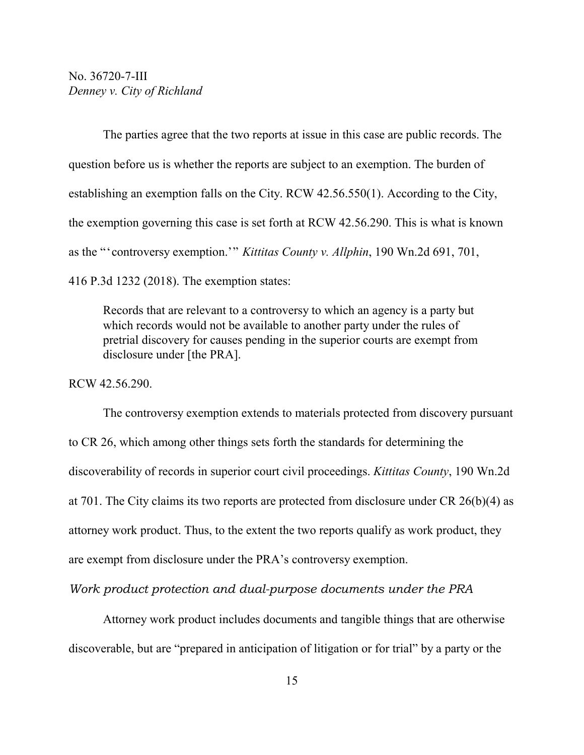The parties agree that the two reports at issue in this case are public records. The question before us is whether the reports are subject to an exemption. The burden of establishing an exemption falls on the City. RCW 42.56.550(1). According to the City, the exemption governing this case is set forth at RCW 42.56.290. This is what is known as the "'controversy exemption.'" *Kittitas County v. Allphin*, 190 Wn.2d 691, 701, 416 P.3d 1232 (2018). The exemption states:

Records that are relevant to a controversy to which an agency is a party but which records would not be available to another party under the rules of pretrial discovery for causes pending in the superior courts are exempt from disclosure under [the PRA].

RCW 42.56.290.

The controversy exemption extends to materials protected from discovery pursuant to CR 26, which among other things sets forth the standards for determining the discoverability of records in superior court civil proceedings. *Kittitas County*, 190 Wn.2d at 701. The City claims its two reports are protected from disclosure under CR 26(b)(4) as attorney work product. Thus, to the extent the two reports qualify as work product, they are exempt from disclosure under the PRA's controversy exemption.

*Work product protection and dual-purpose documents under the PRA*

Attorney work product includes documents and tangible things that are otherwise discoverable, but are "prepared in anticipation of litigation or for trial" by a party or the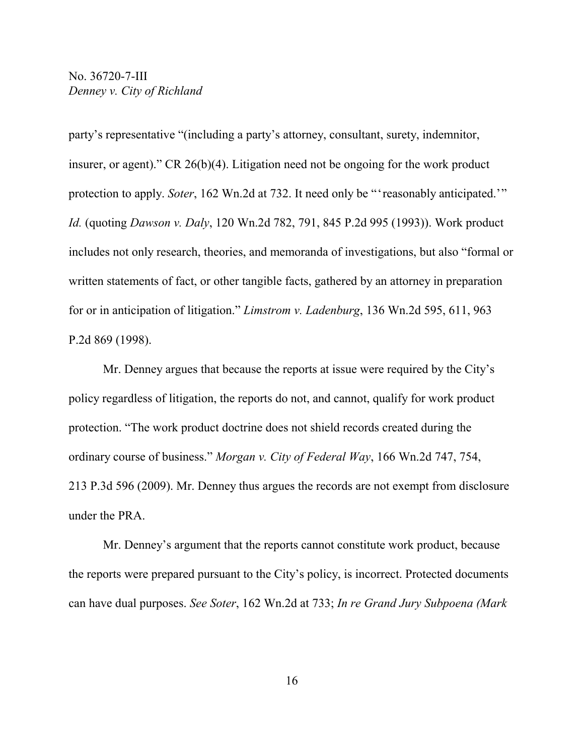party's representative "(including a party's attorney, consultant, surety, indemnitor, insurer, or agent)." CR 26(b)(4). Litigation need not be ongoing for the work product protection to apply. *Soter*, 162 Wn.2d at 732. It need only be "'reasonably anticipated.'" *Id.* (quoting *Dawson v. Daly*, 120 Wn.2d 782, 791, 845 P.2d 995 (1993)). Work product includes not only research, theories, and memoranda of investigations, but also "formal or written statements of fact, or other tangible facts, gathered by an attorney in preparation for or in anticipation of litigation." *Limstrom v. Ladenburg*, 136 Wn.2d 595, 611, 963 P.2d 869 (1998).

Mr. Denney argues that because the reports at issue were required by the City's policy regardless of litigation, the reports do not, and cannot, qualify for work product protection. "The work product doctrine does not shield records created during the ordinary course of business." *Morgan v. City of Federal Way*, 166 Wn.2d 747, 754, 213 P.3d 596 (2009). Mr. Denney thus argues the records are not exempt from disclosure under the PRA.

Mr. Denney's argument that the reports cannot constitute work product, because the reports were prepared pursuant to the City's policy, is incorrect. Protected documents can have dual purposes. *See Soter*, 162 Wn.2d at 733; *In re Grand Jury Subpoena (Mark*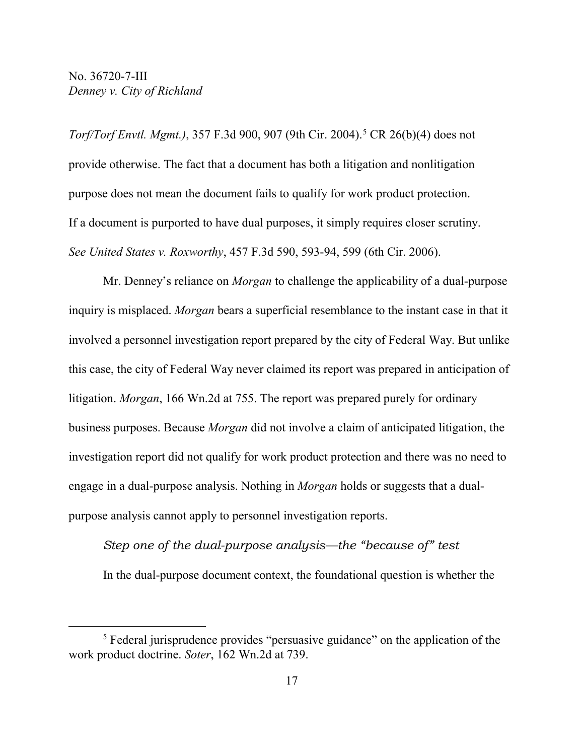*Torf/Torf Envtl. Mgmt.)*, 357 F.3d 900, 907 (9th Cir. 2004). [5](#page-16-0) CR 26(b)(4) does not provide otherwise. The fact that a document has both a litigation and nonlitigation purpose does not mean the document fails to qualify for work product protection. If a document is purported to have dual purposes, it simply requires closer scrutiny. *See United States v. Roxworthy*, 457 F.3d 590, 593-94, 599 (6th Cir. 2006).

Mr. Denney's reliance on *Morgan* to challenge the applicability of a dual-purpose inquiry is misplaced. *Morgan* bears a superficial resemblance to the instant case in that it involved a personnel investigation report prepared by the city of Federal Way. But unlike this case, the city of Federal Way never claimed its report was prepared in anticipation of litigation. *Morgan*, 166 Wn.2d at 755. The report was prepared purely for ordinary business purposes. Because *Morgan* did not involve a claim of anticipated litigation, the investigation report did not qualify for work product protection and there was no need to engage in a dual-purpose analysis. Nothing in *Morgan* holds or suggests that a dualpurpose analysis cannot apply to personnel investigation reports.

*Step one of the dual-purpose analysis—the "because of" test* In the dual-purpose document context, the foundational question is whether the

<span id="page-16-0"></span><sup>5</sup> Federal jurisprudence provides "persuasive guidance" on the application of the work product doctrine. *Soter*, 162 Wn.2d at 739.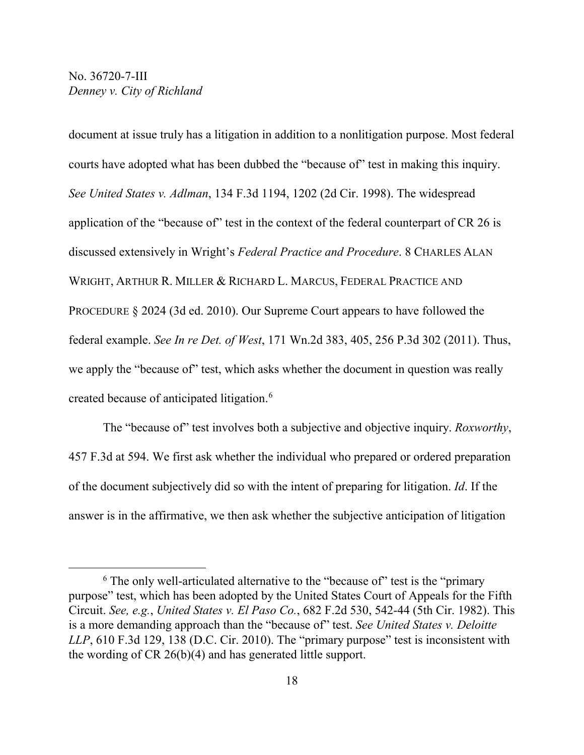document at issue truly has a litigation in addition to a nonlitigation purpose. Most federal courts have adopted what has been dubbed the "because of" test in making this inquiry. *See United States v. Adlman*, 134 F.3d 1194, 1202 (2d Cir. 1998). The widespread application of the "because of" test in the context of the federal counterpart of CR 26 is discussed extensively in Wright's *Federal Practice and Procedure*. 8 CHARLES ALAN WRIGHT, ARTHUR R. MILLER & RICHARD L. MARCUS, FEDERAL PRACTICE AND PROCEDURE § 2024 (3d ed. 2010). Our Supreme Court appears to have followed the federal example. *See In re Det. of West*, 171 Wn.2d 383, 405, 256 P.3d 302 (2011). Thus, we apply the "because of" test, which asks whether the document in question was really created because of anticipated litigation.[6](#page-17-0)

The "because of" test involves both a subjective and objective inquiry. *Roxworthy*, 457 F.3d at 594. We first ask whether the individual who prepared or ordered preparation of the document subjectively did so with the intent of preparing for litigation. *Id*. If the answer is in the affirmative, we then ask whether the subjective anticipation of litigation

<span id="page-17-0"></span><sup>&</sup>lt;sup>6</sup> The only well-articulated alternative to the "because of" test is the "primary purpose" test, which has been adopted by the United States Court of Appeals for the Fifth Circuit. *See, e.g.*, *United States v. El Paso Co.*, 682 F.2d 530, 542-44 (5th Cir. 1982). This is a more demanding approach than the "because of" test. *See United States v. Deloitte LLP*, 610 F.3d 129, 138 (D.C. Cir. 2010). The "primary purpose" test is inconsistent with the wording of CR 26(b)(4) and has generated little support.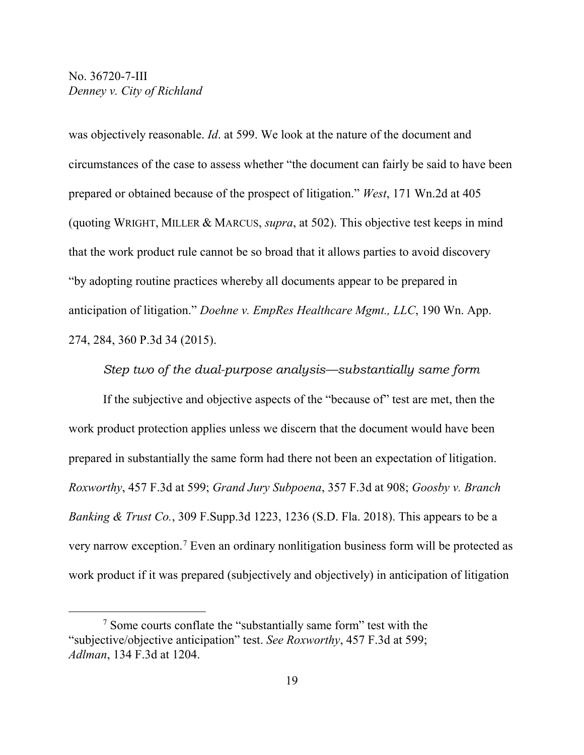was objectively reasonable. *Id*. at 599. We look at the nature of the document and circumstances of the case to assess whether "the document can fairly be said to have been prepared or obtained because of the prospect of litigation." *West*, 171 Wn.2d at 405 (quoting WRIGHT, MILLER & MARCUS, *supra*, at 502). This objective test keeps in mind that the work product rule cannot be so broad that it allows parties to avoid discovery "by adopting routine practices whereby all documents appear to be prepared in anticipation of litigation." *Doehne v. EmpRes Healthcare Mgmt., LLC*, 190 Wn. App. 274, 284, 360 P.3d 34 (2015).

*Step two of the dual-purpose analysis—substantially same form*

If the subjective and objective aspects of the "because of" test are met, then the work product protection applies unless we discern that the document would have been prepared in substantially the same form had there not been an expectation of litigation. *Roxworthy*, 457 F.3d at 599; *Grand Jury Subpoena*, 357 F.3d at 908; *Goosby v. Branch Banking & Trust Co.*, 309 F.Supp.3d 1223, 1236 (S.D. Fla. 2018). This appears to be a very narrow exception.[7](#page-18-0) Even an ordinary nonlitigation business form will be protected as work product if it was prepared (subjectively and objectively) in anticipation of litigation

<span id="page-18-0"></span><sup>7</sup> Some courts conflate the "substantially same form" test with the "subjective/objective anticipation" test. *See Roxworthy*, 457 F.3d at 599; *Adlman*, 134 F.3d at 1204.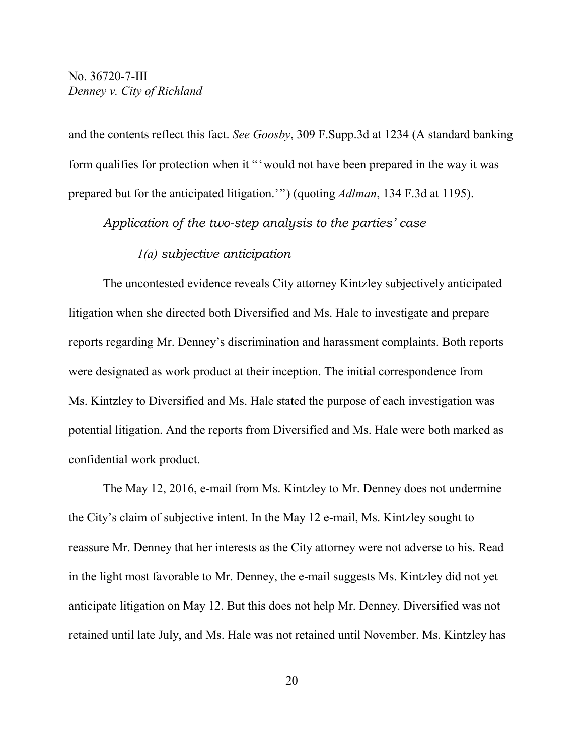and the contents reflect this fact. *See Goosby*, 309 F.Supp.3d at 1234 (A standard banking form qualifies for protection when it "'would not have been prepared in the way it was prepared but for the anticipated litigation.'") (quoting *Adlman*, 134 F.3d at 1195).

*Application of the two-step analysis to the parties' case*

#### *1(a) subjective anticipation*

The uncontested evidence reveals City attorney Kintzley subjectively anticipated litigation when she directed both Diversified and Ms. Hale to investigate and prepare reports regarding Mr. Denney's discrimination and harassment complaints. Both reports were designated as work product at their inception. The initial correspondence from Ms. Kintzley to Diversified and Ms. Hale stated the purpose of each investigation was potential litigation. And the reports from Diversified and Ms. Hale were both marked as confidential work product.

The May 12, 2016, e-mail from Ms. Kintzley to Mr. Denney does not undermine the City's claim of subjective intent. In the May 12 e-mail, Ms. Kintzley sought to reassure Mr. Denney that her interests as the City attorney were not adverse to his. Read in the light most favorable to Mr. Denney, the e-mail suggests Ms. Kintzley did not yet anticipate litigation on May 12. But this does not help Mr. Denney. Diversified was not retained until late July, and Ms. Hale was not retained until November. Ms. Kintzley has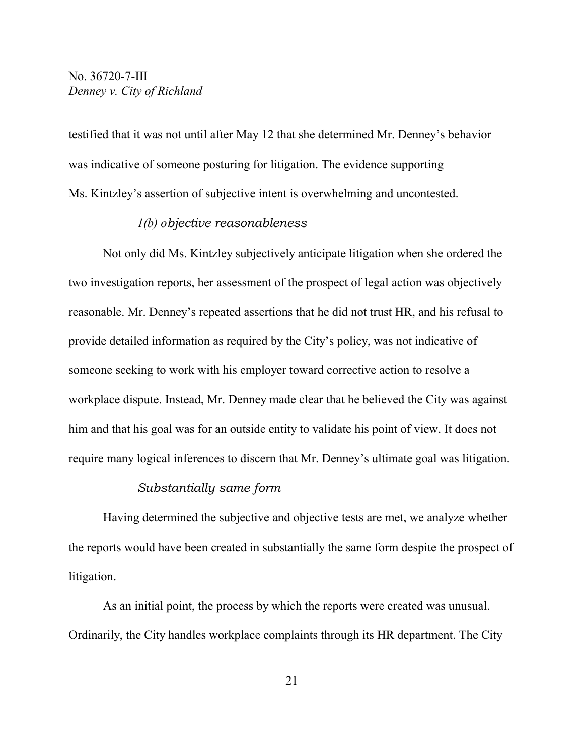testified that it was not until after May 12 that she determined Mr. Denney's behavior was indicative of someone posturing for litigation. The evidence supporting Ms. Kintzley's assertion of subjective intent is overwhelming and uncontested.

#### *1(b) objective reasonableness*

Not only did Ms. Kintzley subjectively anticipate litigation when she ordered the two investigation reports, her assessment of the prospect of legal action was objectively reasonable. Mr. Denney's repeated assertions that he did not trust HR, and his refusal to provide detailed information as required by the City's policy, was not indicative of someone seeking to work with his employer toward corrective action to resolve a workplace dispute. Instead, Mr. Denney made clear that he believed the City was against him and that his goal was for an outside entity to validate his point of view. It does not require many logical inferences to discern that Mr. Denney's ultimate goal was litigation.

#### *Substantially same form*

Having determined the subjective and objective tests are met, we analyze whether the reports would have been created in substantially the same form despite the prospect of litigation.

As an initial point, the process by which the reports were created was unusual. Ordinarily, the City handles workplace complaints through its HR department. The City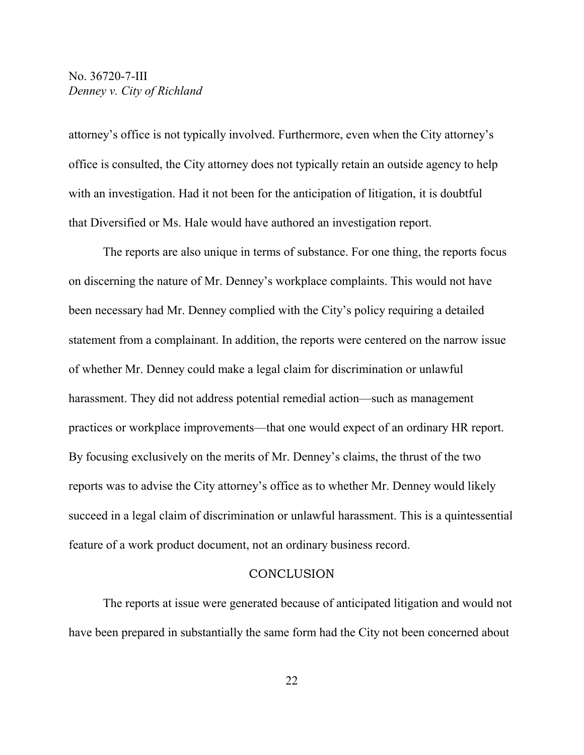attorney's office is not typically involved. Furthermore, even when the City attorney's office is consulted, the City attorney does not typically retain an outside agency to help with an investigation. Had it not been for the anticipation of litigation, it is doubtful that Diversified or Ms. Hale would have authored an investigation report.

The reports are also unique in terms of substance. For one thing, the reports focus on discerning the nature of Mr. Denney's workplace complaints. This would not have been necessary had Mr. Denney complied with the City's policy requiring a detailed statement from a complainant. In addition, the reports were centered on the narrow issue of whether Mr. Denney could make a legal claim for discrimination or unlawful harassment. They did not address potential remedial action—such as management practices or workplace improvements—that one would expect of an ordinary HR report. By focusing exclusively on the merits of Mr. Denney's claims, the thrust of the two reports was to advise the City attorney's office as to whether Mr. Denney would likely succeed in a legal claim of discrimination or unlawful harassment. This is a quintessential feature of a work product document, not an ordinary business record.

#### **CONCLUSION**

The reports at issue were generated because of anticipated litigation and would not have been prepared in substantially the same form had the City not been concerned about